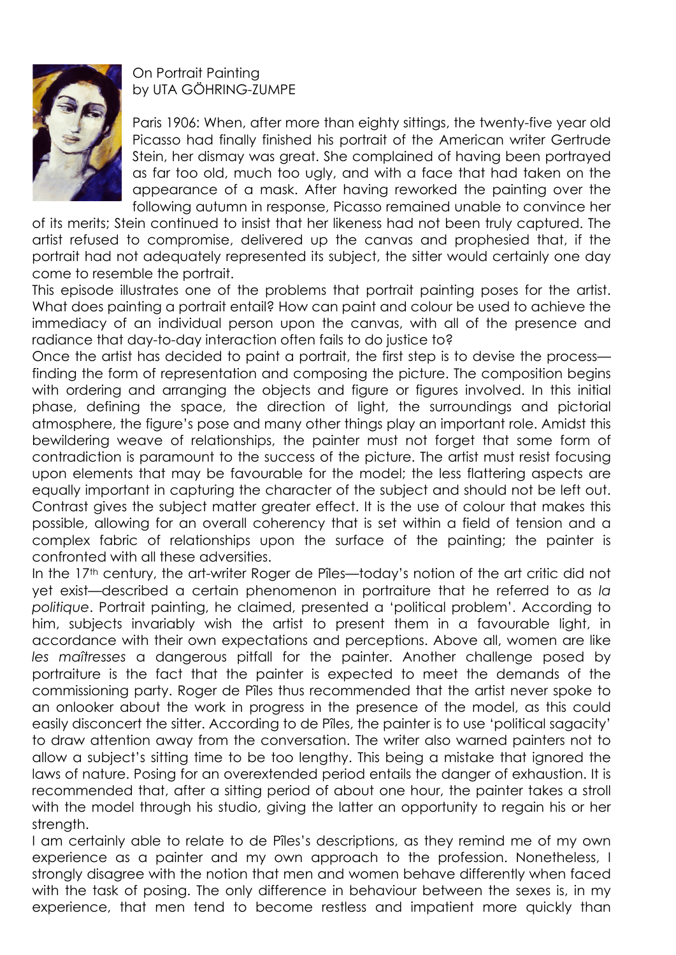

On Portrait Painting by UTA GÖHRING-ZUMPE

Paris 1906: When, after more than eighty sittings, the twenty-five year old Picasso had finally finished his portrait of the American writer Gertrude Stein, her dismay was great. She complained of having been portrayed as far too old, much too ugly, and with a face that had taken on the appearance of a mask. After having reworked the painting over the following autumn in response, Picasso remained unable to convince her

of its merits; Stein continued to insist that her likeness had not been truly captured. The artist refused to compromise, delivered up the canvas and prophesied that, if the portrait had not adequately represented its subject, the sitter would certainly one day come to resemble the portrait.

This episode illustrates one of the problems that portrait painting poses for the artist. What does painting a portrait entail? How can paint and colour be used to achieve the immediacy of an individual person upon the canvas, with all of the presence and radiance that day-to-day interaction often fails to do justice to?

Once the artist has decided to paint a portrait, the first step is to devise the process finding the form of representation and composing the picture. The composition begins with ordering and arranging the objects and figure or figures involved. In this initial phase, defining the space, the direction of light, the surroundings and pictorial atmosphere, the figure's pose and many other things play an important role. Amidst this bewildering weave of relationships, the painter must not forget that some form of contradiction is paramount to the success of the picture. The artist must resist focusing upon elements that may be favourable for the model; the less flattering aspects are equally important in capturing the character of the subject and should not be left out. Contrast gives the subject matter greater effect. It is the use of colour that makes this possible, allowing for an overall coherency that is set within a field of tension and a complex fabric of relationships upon the surface of the painting; the painter is confronted with all these adversities.

In the 17<sup>th</sup> century, the art-writer Roger de Pîles—today's notion of the art critic did not yet exist—described a certain phenomenon in portraiture that he referred to as *la politique*. Portrait painting, he claimed, presented a 'political problem'. According to him, subjects invariably wish the artist to present them in a favourable light, in accordance with their own expectations and perceptions. Above all, women are like *les maîtresses* a dangerous pitfall for the painter. Another challenge posed by portraiture is the fact that the painter is expected to meet the demands of the commissioning party. Roger de Pîles thus recommended that the artist never spoke to an onlooker about the work in progress in the presence of the model, as this could easily disconcert the sitter. According to de Pîles, the painter is to use 'political sagacity' to draw attention away from the conversation. The writer also warned painters not to allow a subject's sitting time to be too lengthy. This being a mistake that ignored the laws of nature. Posing for an overextended period entails the danger of exhaustion. It is recommended that, after a sitting period of about one hour, the painter takes a stroll with the model through his studio, giving the latter an opportunity to regain his or her strength.

I am certainly able to relate to de Pîles's descriptions, as they remind me of my own experience as a painter and my own approach to the profession. Nonetheless, I strongly disagree with the notion that men and women behave differently when faced with the task of posing. The only difference in behaviour between the sexes is, in my experience, that men tend to become restless and impatient more quickly than